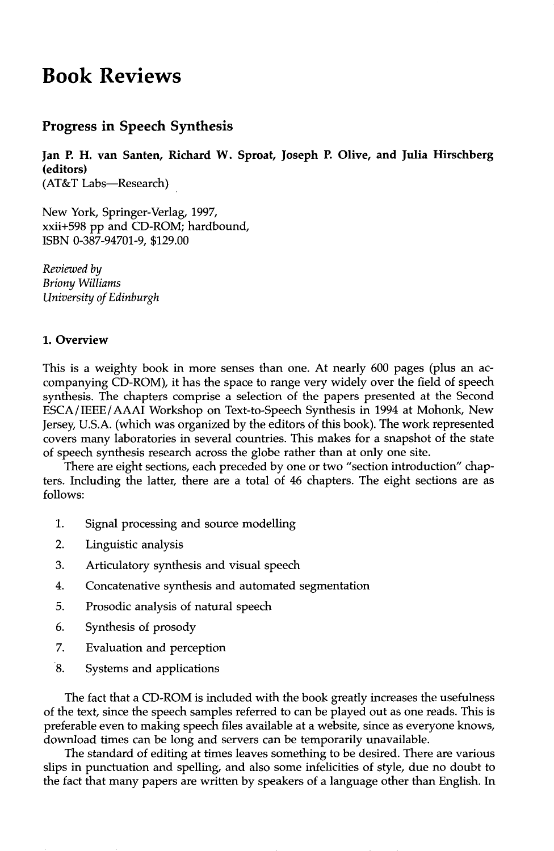# **Book Reviews**

## **Progress in Speech Synthesis**

**Jan P. H. van Santen, Richard W. Sproat, Joseph P. Olive, and Julia Hirschberg (editors)** 

(AT&T Labs--Research)

New York, Springer-Verlag, 1997, xxii+598 pp and CD-ROM; hardbound, ISBN 0-387-94701-9, \$129.00

*Reviewed by Briony Williams University of Edinburgh* 

#### **1. Overview**

This is a weighty book in more senses than one. At nearly 600 pages (plus an accompanying CD-ROM), it has the space to range very widely over the field of speech synthesis. The chapters comprise a selection of the papers presented at the Second ESCA/IEEE/AAAI Workshop on Text-to-Speech Synthesis in 1994 at Mohonk, New Jersey, U.S.A. (which was organized by the editors of this book). The work represented covers many laboratories in several countries. This makes for a snapshot of the state of speech synthesis research across the globe rather than at only one site.

There are eight sections, each preceded by one or two "section introduction" chapters. Including the latter, there are a total of 46 chapters. The eight sections are as follows:

- 1. Signal processing and source modelling
- 2. Linguistic analysis
- 3. Articulatory synthesis and visual speech
- 4. Concatenative synthesis and automated segmentation
- 5. Prosodic analysis of natural speech
- 6. Synthesis of prosody
- 7. Evaluation and perception
- 8. Systems and applications

The fact that a CD-ROM is included with the book greatly increases the usefulness of the text, since the speech samples referred to can be played out as one reads. This is preferable even to making speech files available at a website, since as everyone knows, download times can be long and servers can be temporarily unavailable.

The standard of editing at times leaves something to be desired. There are various slips in punctuation and spelling, and also some infelicities of style, due no doubt to the fact that many papers are written by speakers of a language other than English. In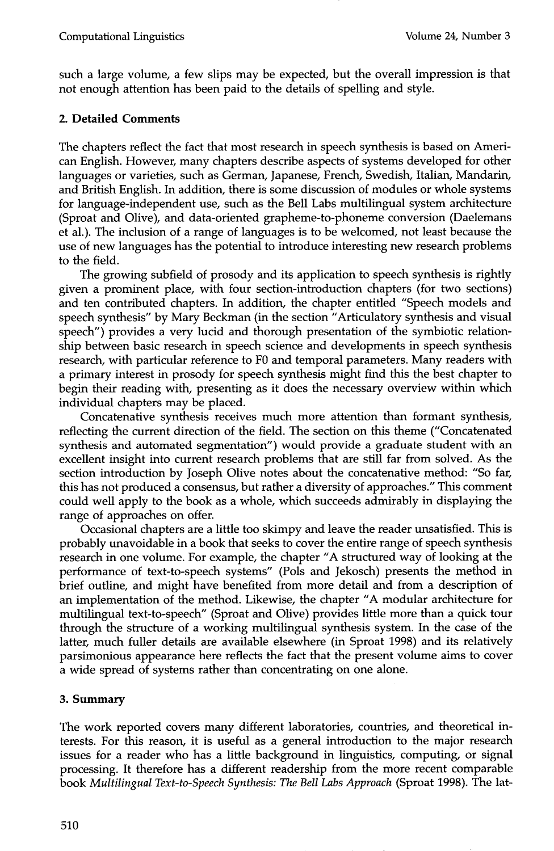such a large volume, a few slips may be expected, but the overall impression is that not enough attention has been paid to the details of spelling and style.

### **2. Detailed Comments**

The chapters reflect the fact that most research in speech synthesis is based on American English. However, many chapters describe aspects of systems developed for other languages or varieties, such as German, Japanese, French, Swedish, Italian, Mandarin, and British English. In addition, there is some discussion of modules or whole systems for language-independent use, such as the Bell Labs multilingual system architecture (Sproat and Olive), and data-oriented grapheme-to-phoneme conversion (Daelemans et al.). The inclusion of a range of languages is to be welcomed, not least because the use of new languages has the potential to introduce interesting new research problems to the field.

The growing subfield of prosody and its application to speech synthesis is rightly given a prominent place, with four section-introduction chapters (for two sections) and ten contributed chapters. In addition, the chapter entitled "Speech models and speech synthesis" by Mary Beckman (in the section "Articulatory synthesis and visual speech") provides a very lucid and thorough presentation of the symbiotic relationship between basic research in speech science and developments in speech synthesis research, with particular reference to F0 and temporal parameters. Many readers with a primary interest in prosody for speech synthesis might find this the best chapter to begin their reading with, presenting as it does the necessary overview within which individual chapters may be placed.

Concatenative synthesis receives much more attention than formant synthesis, reflecting the current direction of the field. The section on this theme ("Concatenated synthesis and automated segmentation") would provide a graduate student with an excellent insight into current research problems that are still far from solved. As the section introduction by Joseph Olive notes about the concatenative method: "So far, this has not produced a consensus, but rather a diversity of approaches." This comment could well apply to the book as a whole, which succeeds admirably in displaying the range of approaches on offer.

Occasional chapters are a little too skimpy and leave the reader unsatisfied. This is probably unavoidable in a book that seeks to cover the entire range of speech synthesis research in one volume. For example, the chapter "A structured way of looking at the performance of text-to-speech systems" (Pols and Jekosch) presents the method in brief outline, and might have benefited from more detail and from a description of an implementation of the method. Likewise, the chapter "A modular architecture for multilingual text-to-speech" (Sproat and Olive) provides little more than a quick tour through the structure of a working multilingual synthesis system. In the case of the latter, much fuller details are available elsewhere (in Sproat 1998) and its relatively parsimonious appearance here reflects the fact that the present volume aims to cover a wide spread of systems rather than concentrating on one alone.

#### **3. Summary**

The work reported covers many different laboratories, countries, and theoretical interests. For this reason, it is useful as a general introduction to the major research issues for a reader who has a little background in linguistics, computing, or signal processing. It therefore has a different readership from the more recent comparable book *Multilingual Text-to-Speech Synthesis: The Bell Labs Approach* (Sproat 1998). The **lat-**